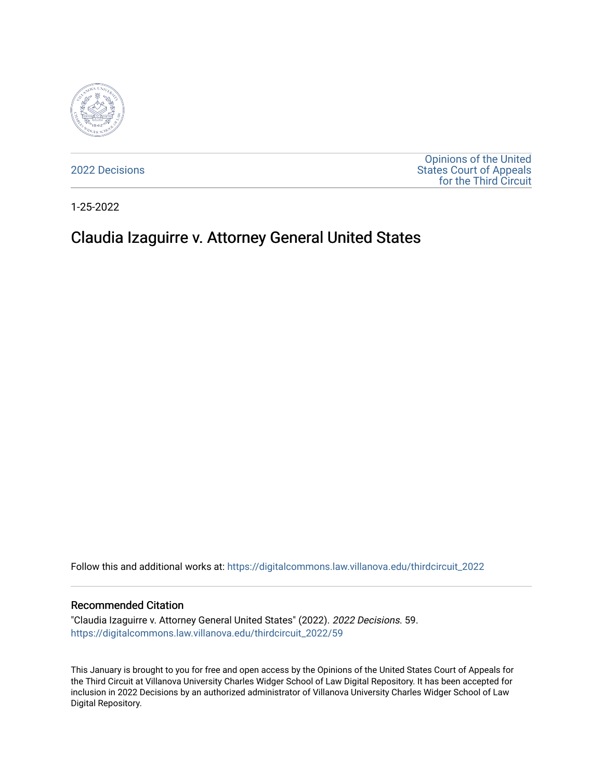

[2022 Decisions](https://digitalcommons.law.villanova.edu/thirdcircuit_2022)

[Opinions of the United](https://digitalcommons.law.villanova.edu/thirdcircuit)  [States Court of Appeals](https://digitalcommons.law.villanova.edu/thirdcircuit)  [for the Third Circuit](https://digitalcommons.law.villanova.edu/thirdcircuit) 

1-25-2022

# Claudia Izaguirre v. Attorney General United States

Follow this and additional works at: [https://digitalcommons.law.villanova.edu/thirdcircuit\\_2022](https://digitalcommons.law.villanova.edu/thirdcircuit_2022?utm_source=digitalcommons.law.villanova.edu%2Fthirdcircuit_2022%2F59&utm_medium=PDF&utm_campaign=PDFCoverPages) 

#### Recommended Citation

"Claudia Izaguirre v. Attorney General United States" (2022). 2022 Decisions. 59. [https://digitalcommons.law.villanova.edu/thirdcircuit\\_2022/59](https://digitalcommons.law.villanova.edu/thirdcircuit_2022/59?utm_source=digitalcommons.law.villanova.edu%2Fthirdcircuit_2022%2F59&utm_medium=PDF&utm_campaign=PDFCoverPages)

This January is brought to you for free and open access by the Opinions of the United States Court of Appeals for the Third Circuit at Villanova University Charles Widger School of Law Digital Repository. It has been accepted for inclusion in 2022 Decisions by an authorized administrator of Villanova University Charles Widger School of Law Digital Repository.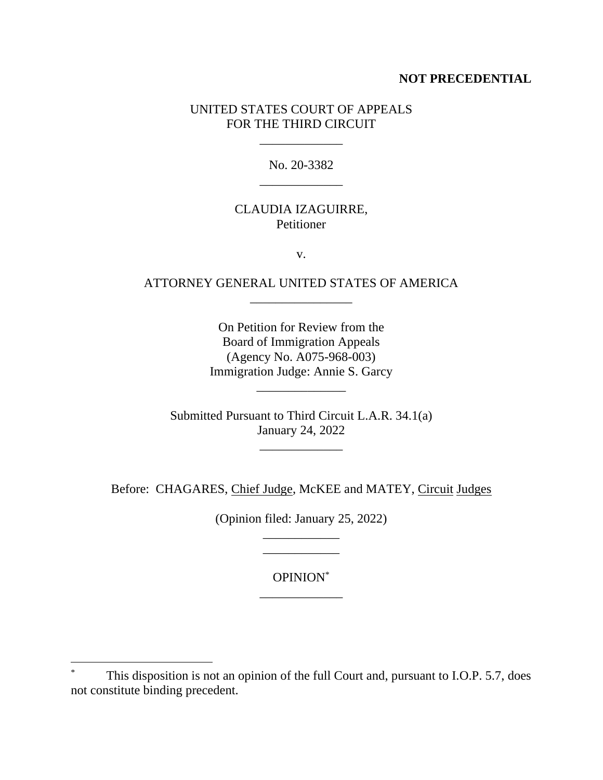#### **NOT PRECEDENTIAL**

## UNITED STATES COURT OF APPEALS FOR THE THIRD CIRCUIT

\_\_\_\_\_\_\_\_\_\_\_\_\_

No. 20-3382 \_\_\_\_\_\_\_\_\_\_\_\_\_

## CLAUDIA IZAGUIRRE, Petitioner

v.

## ATTORNEY GENERAL UNITED STATES OF AMERICA \_\_\_\_\_\_\_\_\_\_\_\_\_\_\_\_

On Petition for Review from the Board of Immigration Appeals (Agency No. A075-968-003) Immigration Judge: Annie S. Garcy

Submitted Pursuant to Third Circuit L.A.R. 34.1(a) January 24, 2022

\_\_\_\_\_\_\_\_\_\_\_\_\_

\_\_\_\_\_\_\_\_\_\_\_\_\_\_

Before: CHAGARES, Chief Judge, McKEE and MATEY, Circuit Judges

(Opinion filed: January 25, 2022) \_\_\_\_\_\_\_\_\_\_\_\_

> OPINION\* \_\_\_\_\_\_\_\_\_\_\_\_\_

\_\_\_\_\_\_\_\_\_\_\_\_

This disposition is not an opinion of the full Court and, pursuant to I.O.P. 5.7, does not constitute binding precedent.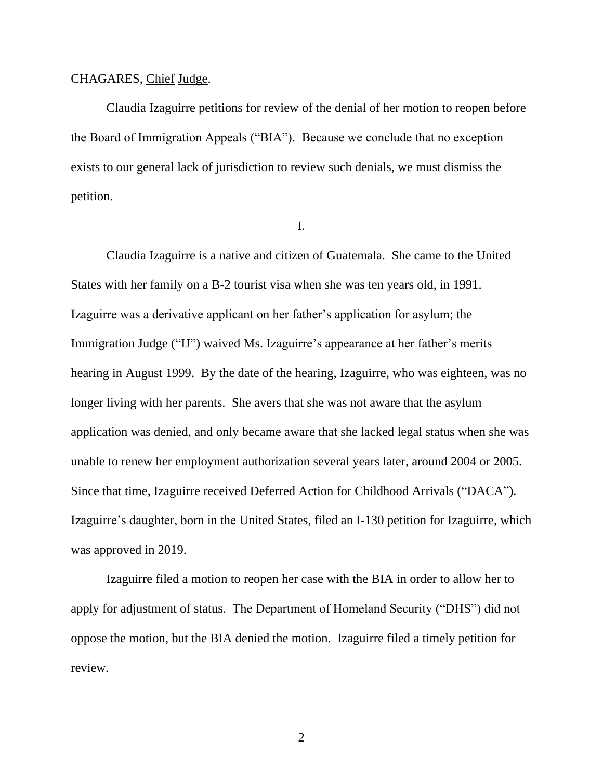#### CHAGARES, Chief Judge.

Claudia Izaguirre petitions for review of the denial of her motion to reopen before the Board of Immigration Appeals ("BIA"). Because we conclude that no exception exists to our general lack of jurisdiction to review such denials, we must dismiss the petition.

I.

Claudia Izaguirre is a native and citizen of Guatemala. She came to the United States with her family on a B-2 tourist visa when she was ten years old, in 1991. Izaguirre was a derivative applicant on her father's application for asylum; the Immigration Judge ("IJ") waived Ms. Izaguirre's appearance at her father's merits hearing in August 1999. By the date of the hearing, Izaguirre, who was eighteen, was no longer living with her parents. She avers that she was not aware that the asylum application was denied, and only became aware that she lacked legal status when she was unable to renew her employment authorization several years later, around 2004 or 2005. Since that time, Izaguirre received Deferred Action for Childhood Arrivals ("DACA"). Izaguirre's daughter, born in the United States, filed an I-130 petition for Izaguirre, which was approved in 2019.

Izaguirre filed a motion to reopen her case with the BIA in order to allow her to apply for adjustment of status. The Department of Homeland Security ("DHS") did not oppose the motion, but the BIA denied the motion. Izaguirre filed a timely petition for review.

2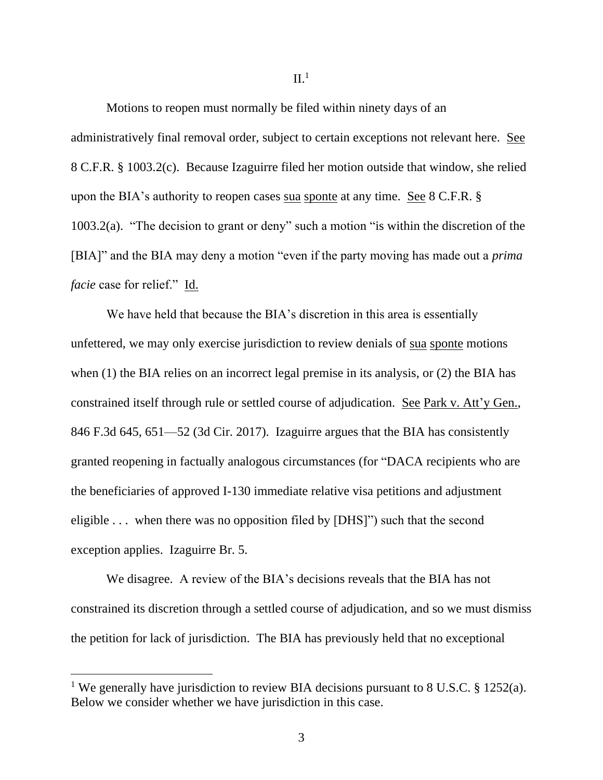Motions to reopen must normally be filed within ninety days of an administratively final removal order, subject to certain exceptions not relevant here. See 8 C.F.R. § 1003.2(c). Because Izaguirre filed her motion outside that window, she relied upon the BIA's authority to reopen cases sua sponte at any time. See 8 C.F.R. § 1003.2(a). "The decision to grant or deny" such a motion "is within the discretion of the [BIA]" and the BIA may deny a motion "even if the party moving has made out a *prima facie* case for relief." Id.

We have held that because the BIA's discretion in this area is essentially unfettered, we may only exercise jurisdiction to review denials of sua sponte motions when (1) the BIA relies on an incorrect legal premise in its analysis, or (2) the BIA has constrained itself through rule or settled course of adjudication. See Park v. Att'y Gen., 846 F.3d 645, 651—52 (3d Cir. 2017). Izaguirre argues that the BIA has consistently granted reopening in factually analogous circumstances (for "DACA recipients who are the beneficiaries of approved I-130 immediate relative visa petitions and adjustment eligible . . . when there was no opposition filed by [DHS]") such that the second exception applies. Izaguirre Br. 5.

We disagree. A review of the BIA's decisions reveals that the BIA has not constrained its discretion through a settled course of adjudication, and so we must dismiss the petition for lack of jurisdiction. The BIA has previously held that no exceptional

<sup>&</sup>lt;sup>1</sup> We generally have jurisdiction to review BIA decisions pursuant to 8 U.S.C. § 1252(a). Below we consider whether we have jurisdiction in this case.